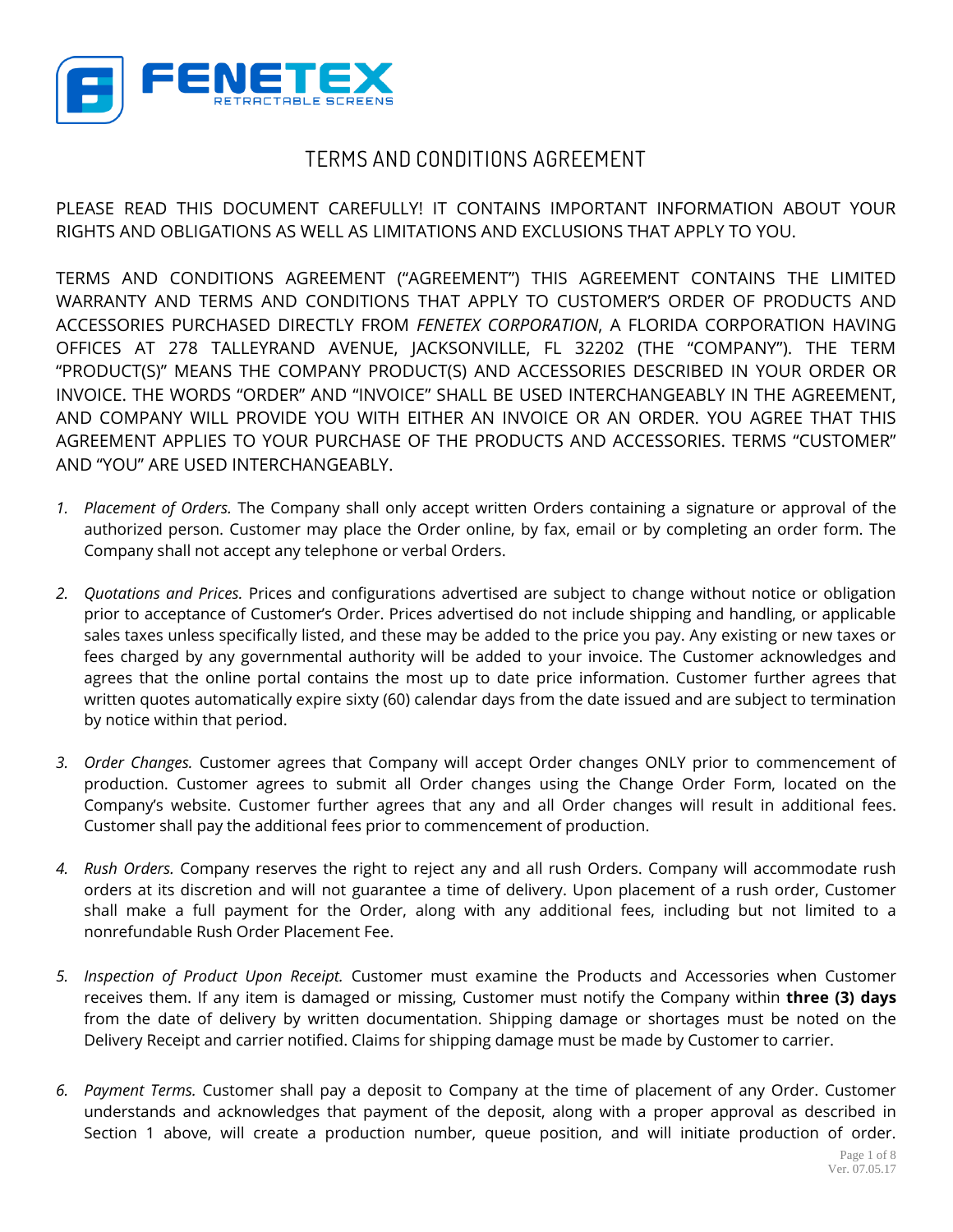

## **TERMS AND CONDITIONS AGREEMENT**

PLEASE READ THIS DOCUMENT CAREFULLY! IT CONTAINS IMPORTANT INFORMATION ABOUT YOUR RIGHTS AND OBLIGATIONS AS WELL AS LIMITATIONS AND EXCLUSIONS THAT APPLY TO YOU.

TERMS AND CONDITIONS AGREEMENT ("AGREEMENT") THIS AGREEMENT CONTAINS THE LIMITED WARRANTY AND TERMS AND CONDITIONS THAT APPLY TO CUSTOMER'S ORDER OF PRODUCTS AND ACCESSORIES PURCHASED DIRECTLY FROM *FENETEX CORPORATION*, A FLORIDA CORPORATION HAVING OFFICES AT 278 TALLEYRAND AVENUE, JACKSONVILLE, FL 32202 (THE "COMPANY"). THE TERM "PRODUCT(S)" MEANS THE COMPANY PRODUCT(S) AND ACCESSORIES DESCRIBED IN YOUR ORDER OR INVOICE. THE WORDS "ORDER" AND "INVOICE" SHALL BE USED INTERCHANGEABLY IN THE AGREEMENT, AND COMPANY WILL PROVIDE YOU WITH EITHER AN INVOICE OR AN ORDER. YOU AGREE THAT THIS AGREEMENT APPLIES TO YOUR PURCHASE OF THE PRODUCTS AND ACCESSORIES. TERMS "CUSTOMER" AND "YOU" ARE USED INTERCHANGEABLY.

- *1. Placement of Orders.* The Company shall only accept written Orders containing a signature or approval of the authorized person. Customer may place the Order online, by fax, email or by completing an order form. The Company shall not accept any telephone or verbal Orders.
- *2. Quotations and Prices.* Prices and configurations advertised are subject to change without notice or obligation prior to acceptance of Customer's Order. Prices advertised do not include shipping and handling, or applicable sales taxes unless specifically listed, and these may be added to the price you pay. Any existing or new taxes or fees charged by any governmental authority will be added to your invoice. The Customer acknowledges and agrees that the online portal contains the most up to date price information. Customer further agrees that written quotes automatically expire sixty (60) calendar days from the date issued and are subject to termination by notice within that period.
- *3. Order Changes.* Customer agrees that Company will accept Order changes ONLY prior to commencement of production. Customer agrees to submit all Order changes using the Change Order Form, located on the Company's website. Customer further agrees that any and all Order changes will result in additional fees. Customer shall pay the additional fees prior to commencement of production.
- *4. Rush Orders.* Company reserves the right to reject any and all rush Orders. Company will accommodate rush orders at its discretion and will not guarantee a time of delivery. Upon placement of a rush order, Customer shall make a full payment for the Order, along with any additional fees, including but not limited to a nonrefundable Rush Order Placement Fee.
- *5. Inspection of Product Upon Receipt.* Customer must examine the Products and Accessories when Customer receives them. If any item is damaged or missing, Customer must notify the Company within **three (3) days** from the date of delivery by written documentation. Shipping damage or shortages must be noted on the Delivery Receipt and carrier notified. Claims for shipping damage must be made by Customer to carrier.
- *6. Payment Terms.* Customer shall pay a deposit to Company at the time of placement of any Order. Customer understands and acknowledges that payment of the deposit, along with a proper approval as described in Section 1 above, will create a production number, queue position, and will initiate production of order.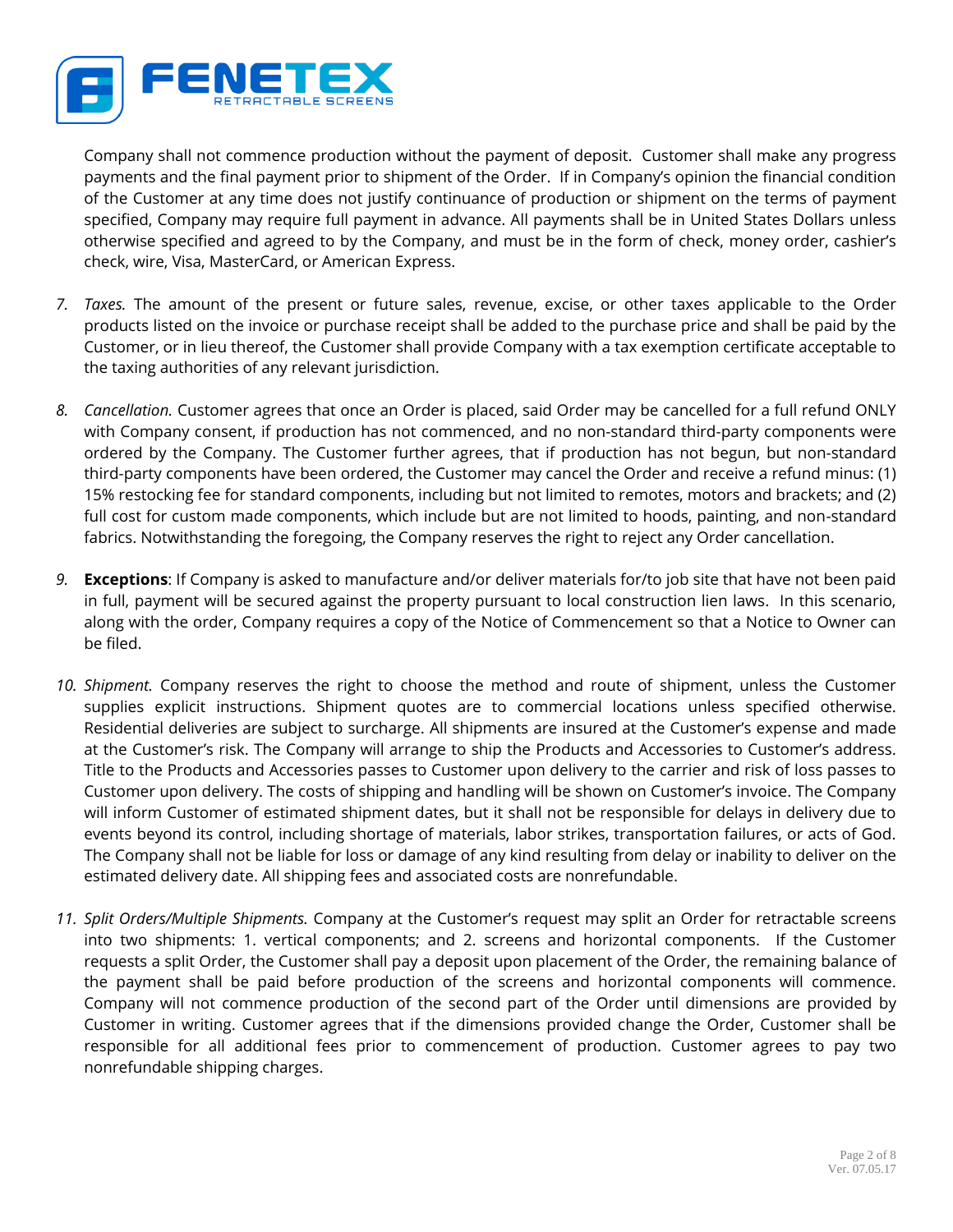

Company shall not commence production without the payment of deposit. Customer shall make any progress payments and the final payment prior to shipment of the Order. If in Company's opinion the financial condition of the Customer at any time does not justify continuance of production or shipment on the terms of payment specified, Company may require full payment in advance. All payments shall be in United States Dollars unless otherwise specified and agreed to by the Company, and must be in the form of check, money order, cashier's check, wire, Visa, MasterCard, or American Express.

- *7. Taxes.* The amount of the present or future sales, revenue, excise, or other taxes applicable to the Order products listed on the invoice or purchase receipt shall be added to the purchase price and shall be paid by the Customer, or in lieu thereof, the Customer shall provide Company with a tax exemption certificate acceptable to the taxing authorities of any relevant jurisdiction.
- *8. Cancellation.* Customer agrees that once an Order is placed, said Order may be cancelled for a full refund ONLY with Company consent, if production has not commenced, and no non-standard third-party components were ordered by the Company. The Customer further agrees, that if production has not begun, but non-standard third-party components have been ordered, the Customer may cancel the Order and receive a refund minus: (1) 15% restocking fee for standard components, including but not limited to remotes, motors and brackets; and (2) full cost for custom made components, which include but are not limited to hoods, painting, and non-standard fabrics. Notwithstanding the foregoing, the Company reserves the right to reject any Order cancellation.
- *9.* **Exceptions**: If Company is asked to manufacture and/or deliver materials for/to job site that have not been paid in full, payment will be secured against the property pursuant to local construction lien laws. In this scenario, along with the order, Company requires a copy of the Notice of Commencement so that a Notice to Owner can be filed.
- *10. Shipment.* Company reserves the right to choose the method and route of shipment, unless the Customer supplies explicit instructions. Shipment quotes are to commercial locations unless specified otherwise. Residential deliveries are subject to surcharge. All shipments are insured at the Customer's expense and made at the Customer's risk. The Company will arrange to ship the Products and Accessories to Customer's address. Title to the Products and Accessories passes to Customer upon delivery to the carrier and risk of loss passes to Customer upon delivery. The costs of shipping and handling will be shown on Customer's invoice. The Company will inform Customer of estimated shipment dates, but it shall not be responsible for delays in delivery due to events beyond its control, including shortage of materials, labor strikes, transportation failures, or acts of God. The Company shall not be liable for loss or damage of any kind resulting from delay or inability to deliver on the estimated delivery date. All shipping fees and associated costs are nonrefundable.
- *11. Split Orders/Multiple Shipments.* Company at the Customer's request may split an Order for retractable screens into two shipments: 1. vertical components; and 2. screens and horizontal components. If the Customer requests a split Order, the Customer shall pay a deposit upon placement of the Order, the remaining balance of the payment shall be paid before production of the screens and horizontal components will commence. Company will not commence production of the second part of the Order until dimensions are provided by Customer in writing. Customer agrees that if the dimensions provided change the Order, Customer shall be responsible for all additional fees prior to commencement of production. Customer agrees to pay two nonrefundable shipping charges.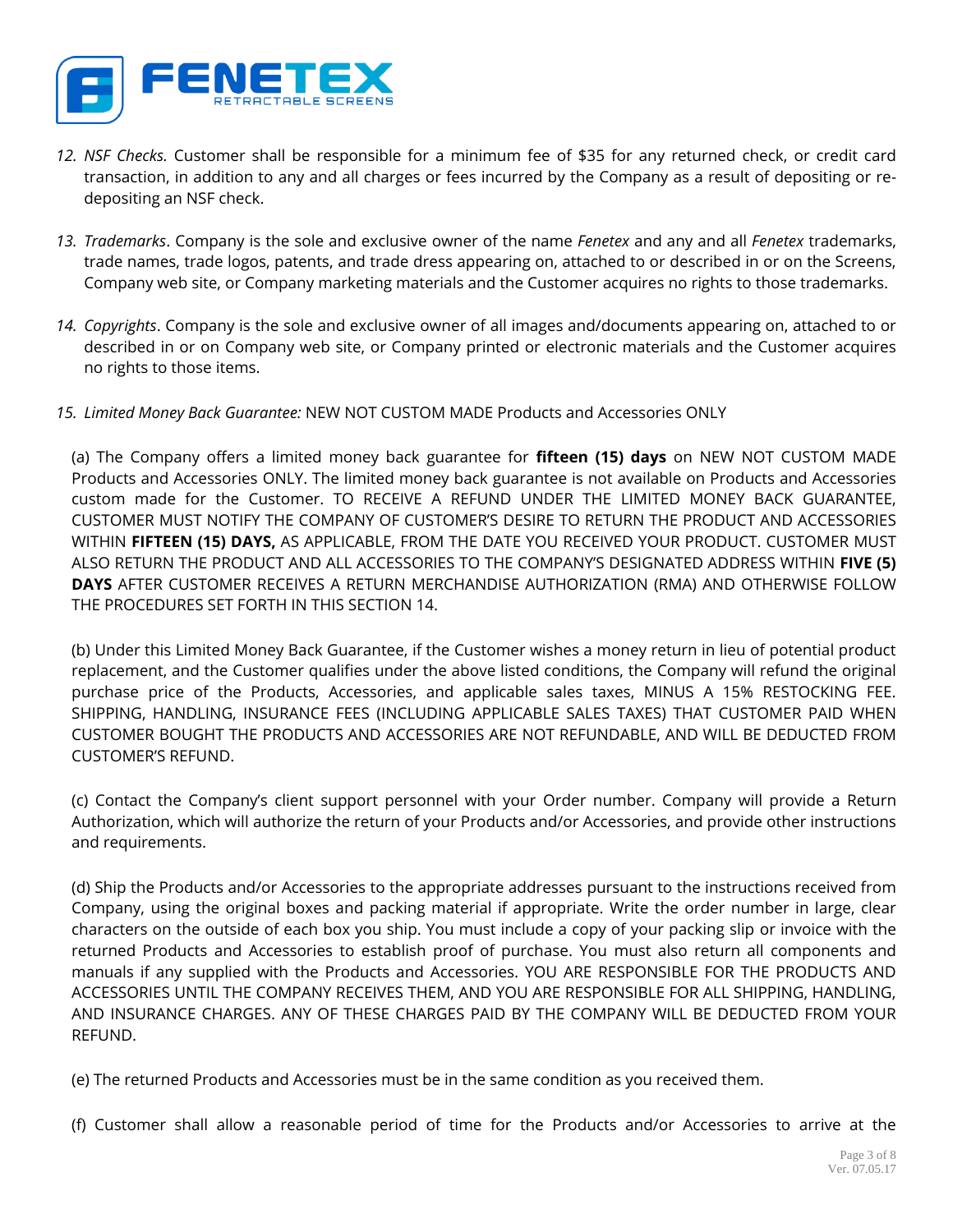

- *12. NSF Checks.* Customer shall be responsible for a minimum fee of \$35 for any returned check, or credit card transaction, in addition to any and all charges or fees incurred by the Company as a result of depositing or redepositing an NSF check.
- *13. Trademarks*. Company is the sole and exclusive owner of the name *Fenetex* and any and all *Fenetex* trademarks, trade names, trade logos, patents, and trade dress appearing on, attached to or described in or on the Screens, Company web site, or Company marketing materials and the Customer acquires no rights to those trademarks.
- *14. Copyrights*. Company is the sole and exclusive owner of all images and/documents appearing on, attached to or described in or on Company web site, or Company printed or electronic materials and the Customer acquires no rights to those items.
- *15. Limited Money Back Guarantee:* NEW NOT CUSTOM MADE Products and Accessories ONLY

(a) The Company offers a limited money back guarantee for **fifteen (15) days** on NEW NOT CUSTOM MADE Products and Accessories ONLY. The limited money back guarantee is not available on Products and Accessories custom made for the Customer. TO RECEIVE A REFUND UNDER THE LIMITED MONEY BACK GUARANTEE, CUSTOMER MUST NOTIFY THE COMPANY OF CUSTOMER'S DESIRE TO RETURN THE PRODUCT AND ACCESSORIES WITHIN **FIFTEEN (15) DAYS,** AS APPLICABLE, FROM THE DATE YOU RECEIVED YOUR PRODUCT. CUSTOMER MUST ALSO RETURN THE PRODUCT AND ALL ACCESSORIES TO THE COMPANY'S DESIGNATED ADDRESS WITHIN **FIVE (5) DAYS** AFTER CUSTOMER RECEIVES A RETURN MERCHANDISE AUTHORIZATION (RMA) AND OTHERWISE FOLLOW THE PROCEDURES SET FORTH IN THIS SECTION 14.

(b) Under this Limited Money Back Guarantee, if the Customer wishes a money return in lieu of potential product replacement, and the Customer qualifies under the above listed conditions, the Company will refund the original purchase price of the Products, Accessories, and applicable sales taxes, MINUS A 15% RESTOCKING FEE. SHIPPING, HANDLING, INSURANCE FEES (INCLUDING APPLICABLE SALES TAXES) THAT CUSTOMER PAID WHEN CUSTOMER BOUGHT THE PRODUCTS AND ACCESSORIES ARE NOT REFUNDABLE, AND WILL BE DEDUCTED FROM CUSTOMER'S REFUND.

(c) Contact the Company's client support personnel with your Order number. Company will provide a Return Authorization, which will authorize the return of your Products and/or Accessories, and provide other instructions and requirements.

(d) Ship the Products and/or Accessories to the appropriate addresses pursuant to the instructions received from Company, using the original boxes and packing material if appropriate. Write the order number in large, clear characters on the outside of each box you ship. You must include a copy of your packing slip or invoice with the returned Products and Accessories to establish proof of purchase. You must also return all components and manuals if any supplied with the Products and Accessories. YOU ARE RESPONSIBLE FOR THE PRODUCTS AND ACCESSORIES UNTIL THE COMPANY RECEIVES THEM, AND YOU ARE RESPONSIBLE FOR ALL SHIPPING, HANDLING, AND INSURANCE CHARGES. ANY OF THESE CHARGES PAID BY THE COMPANY WILL BE DEDUCTED FROM YOUR REFUND.

(e) The returned Products and Accessories must be in the same condition as you received them.

(f) Customer shall allow a reasonable period of time for the Products and/or Accessories to arrive at the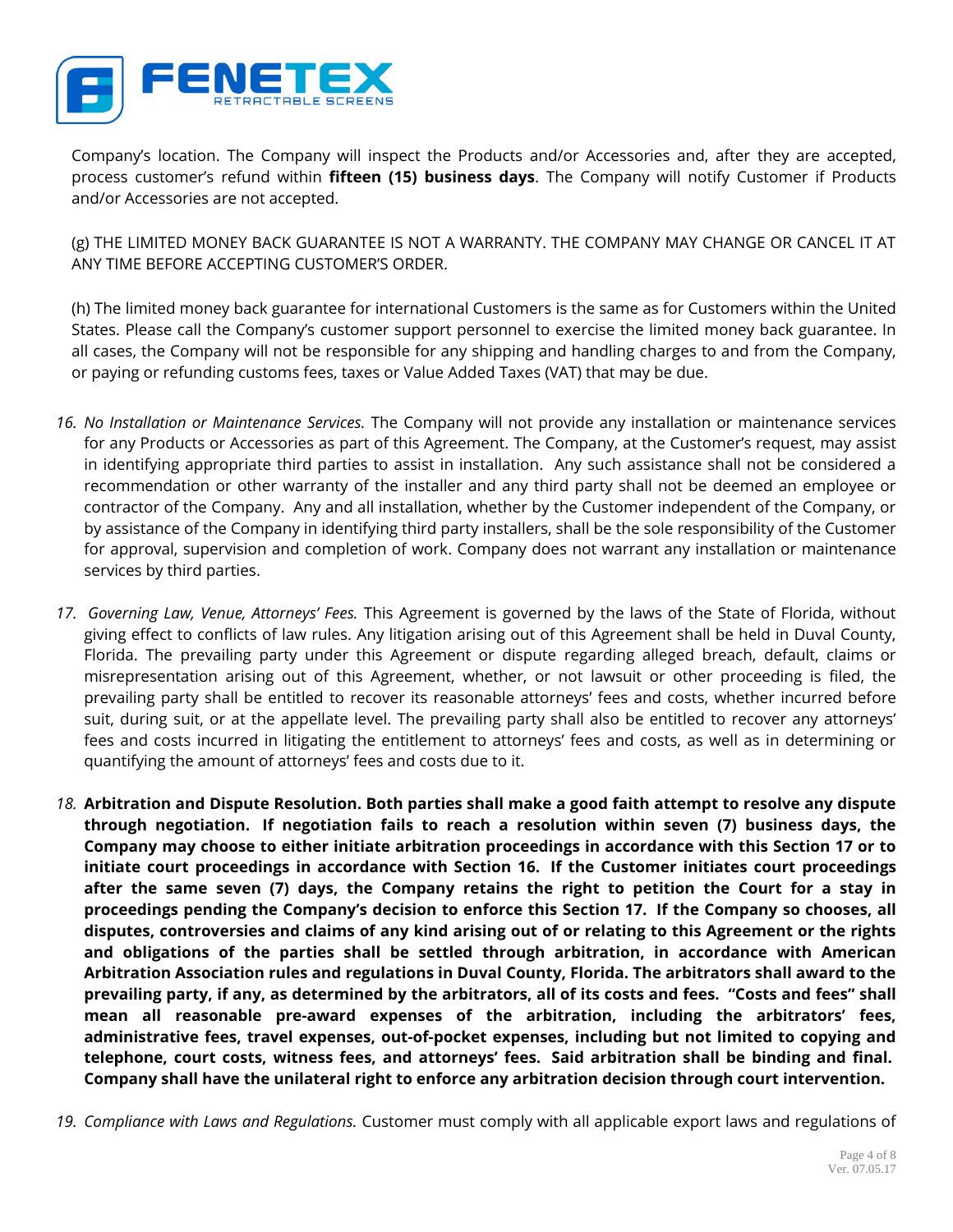

Company's location. The Company will inspect the Products and/or Accessories and, after they are accepted, process customer's refund within **fifteen (15) business days**. The Company will notify Customer if Products and/or Accessories are not accepted.

(g) THE LIMITED MONEY BACK GUARANTEE IS NOT A WARRANTY. THE COMPANY MAY CHANGE OR CANCEL IT AT ANY TIME BEFORE ACCEPTING CUSTOMER'S ORDER.

(h) The limited money back guarantee for international Customers is the same as for Customers within the United States. Please call the Company's customer support personnel to exercise the limited money back guarantee. In all cases, the Company will not be responsible for any shipping and handling charges to and from the Company, or paying or refunding customs fees, taxes or Value Added Taxes (VAT) that may be due.

- *16. No Installation or Maintenance Services.* The Company will not provide any installation or maintenance services for any Products or Accessories as part of this Agreement. The Company, at the Customer's request, may assist in identifying appropriate third parties to assist in installation. Any such assistance shall not be considered a recommendation or other warranty of the installer and any third party shall not be deemed an employee or contractor of the Company. Any and all installation, whether by the Customer independent of the Company, or by assistance of the Company in identifying third party installers, shall be the sole responsibility of the Customer for approval, supervision and completion of work. Company does not warrant any installation or maintenance services by third parties.
- *17. Governing Law, Venue, Attorneys' Fees.* This Agreement is governed by the laws of the State of Florida, without giving effect to conflicts of law rules. Any litigation arising out of this Agreement shall be held in Duval County, Florida. The prevailing party under this Agreement or dispute regarding alleged breach, default, claims or misrepresentation arising out of this Agreement, whether, or not lawsuit or other proceeding is filed, the prevailing party shall be entitled to recover its reasonable attorneys' fees and costs, whether incurred before suit, during suit, or at the appellate level. The prevailing party shall also be entitled to recover any attorneys' fees and costs incurred in litigating the entitlement to attorneys' fees and costs, as well as in determining or quantifying the amount of attorneys' fees and costs due to it.
- *18.* **Arbitration and Dispute Resolution. Both parties shall make a good faith attempt to resolve any dispute through negotiation. If negotiation fails to reach a resolution within seven (7) business days, the Company may choose to either initiate arbitration proceedings in accordance with this Section 17 or to initiate court proceedings in accordance with Section 16. If the Customer initiates court proceedings after the same seven (7) days, the Company retains the right to petition the Court for a stay in proceedings pending the Company's decision to enforce this Section 17. If the Company so chooses, all disputes, controversies and claims of any kind arising out of or relating to this Agreement or the rights and obligations of the parties shall be settled through arbitration, in accordance with American Arbitration Association rules and regulations in Duval County, Florida. The arbitrators shall award to the prevailing party, if any, as determined by the arbitrators, all of its costs and fees. "Costs and fees" shall mean all reasonable pre-award expenses of the arbitration, including the arbitrators' fees, administrative fees, travel expenses, out-of-pocket expenses, including but not limited to copying and telephone, court costs, witness fees, and attorneys' fees. Said arbitration shall be binding and final. Company shall have the unilateral right to enforce any arbitration decision through court intervention.**
- *19. Compliance with Laws and Regulations.* Customer must comply with all applicable export laws and regulations of